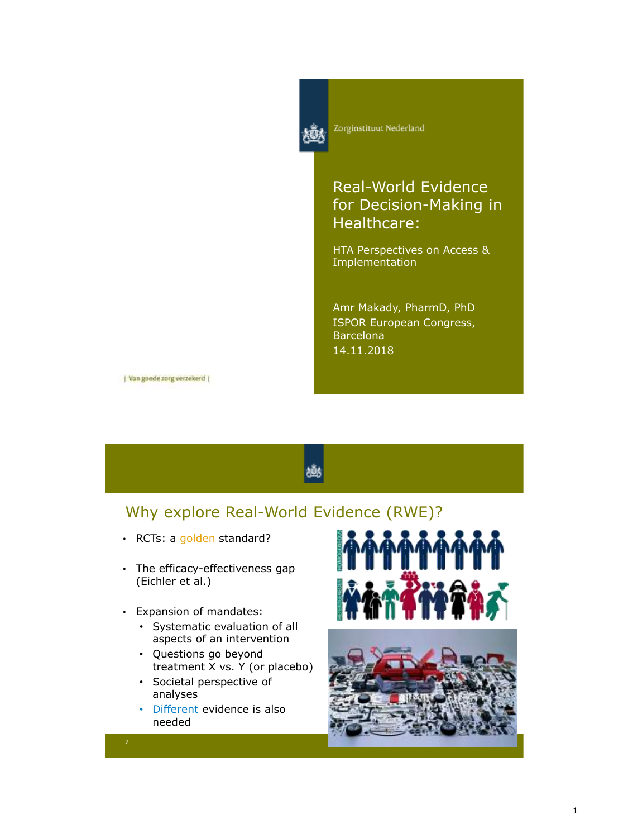

Zorginstituut Nederland

# Real-World Evidence for Decision-Making in Healthcare:

HTA Perspectives on Access & Implementation

Amr Makady, PharmD, PhD ISPOR European Congress, **Barcelona** 14.11.2018

| Van goede zorg verzekerd |

# Why explore Real-World Evidence (RWE)?

- RCTs: a golden standard?
- The efficacy-effectiveness gap (Eichler et al.)
- Expansion of mandates:
	- Systematic evaluation of all aspects of an intervention
	- Questions go beyond treatment X vs. Y (or placebo)
	- Societal perspective of analyses
	- Different evidence is also needed





2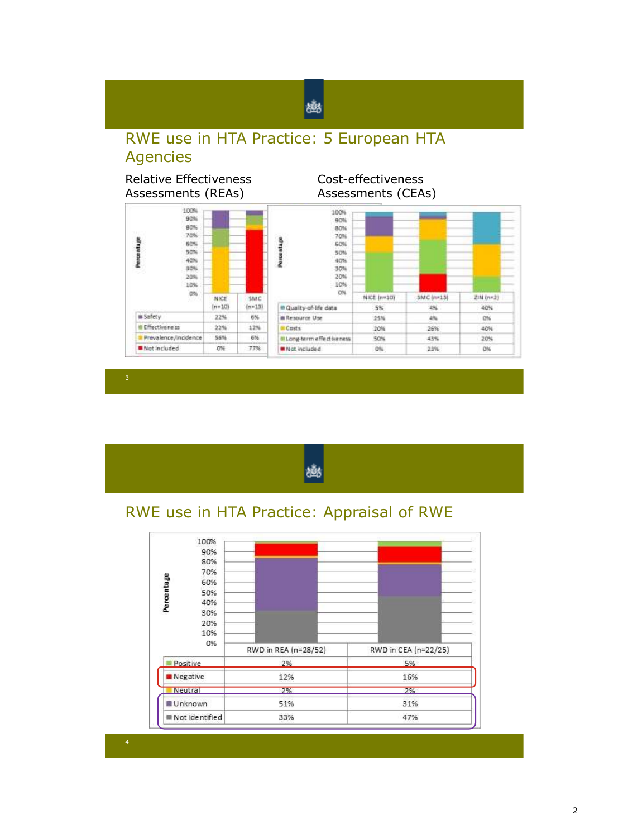# RWE use in HTA Practice: 5 European HTA Agencies

幽

#### Relative Effectiveness Assessments (REAs)

Cost-effectiveness Assessments (CEAs)





# RWE use in HTA Practice: Appraisal of RWE

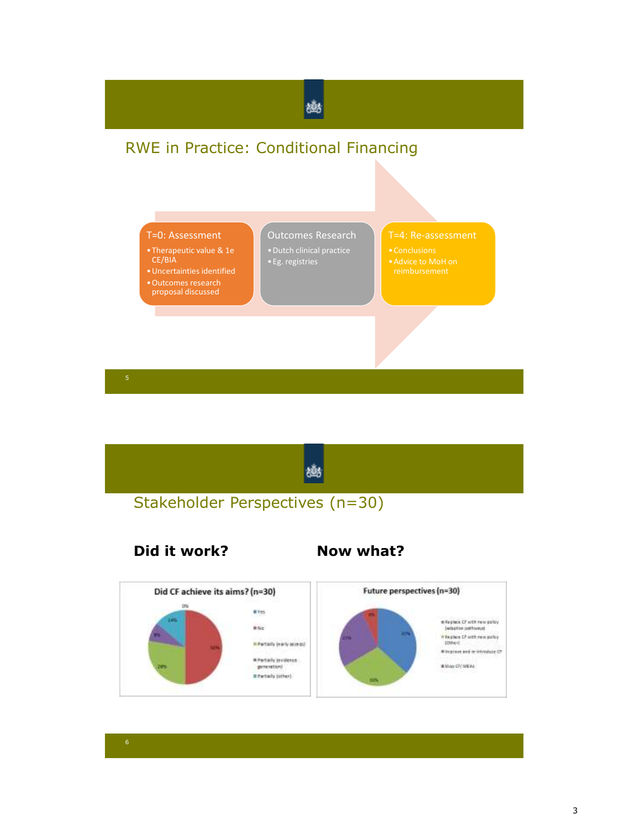



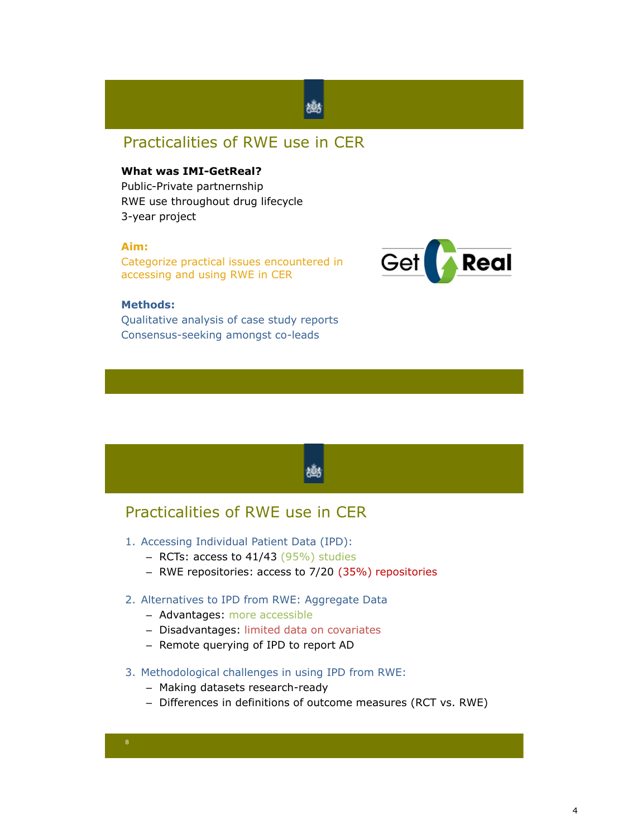## Practicalities of RWE use in CER

#### **What was IMI-GetReal?**

Public-Private partnernship RWE use throughout drug lifecycle 3-year project

#### **Aim:**

Categorize practical issues encountered in accessing and using RWE in CER



#### **Methods:**

Qualitative analysis of case study reports Consensus-seeking amongst co-leads



### Practicalities of RWE use in CER

- 1. Accessing Individual Patient Data (IPD):
	- RCTs: access to  $41/43$  (95%) studies
	- RWE repositories: access to 7/20 (35%) repositories
- 2. Alternatives to IPD from RWE: Aggregate Data
	- Advantages: more accessible
	- Disadvantages: limited data on covariates
	- Remote querying of IPD to report AD
- 3. Methodological challenges in using IPD from RWE:
	- Making datasets research-ready
	- Differences in definitions of outcome measures (RCT vs. RWE)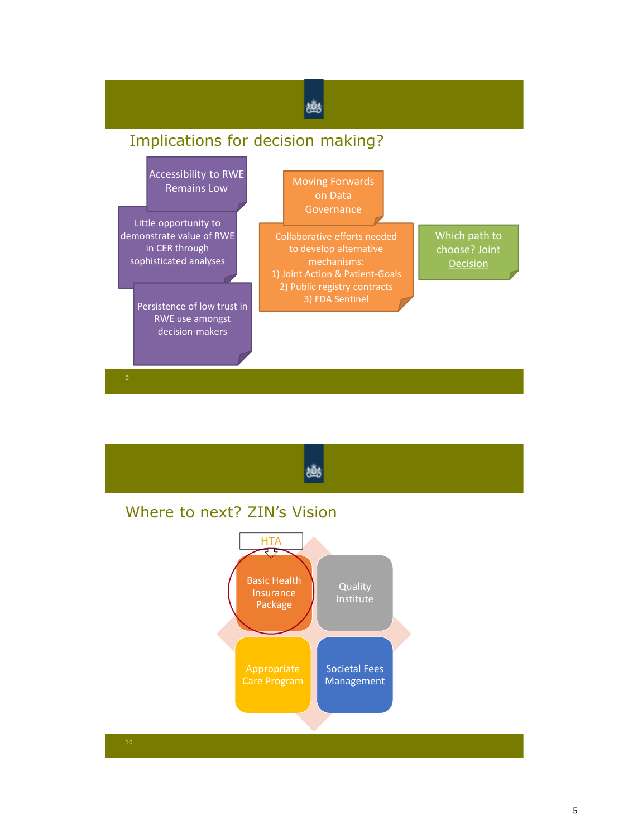

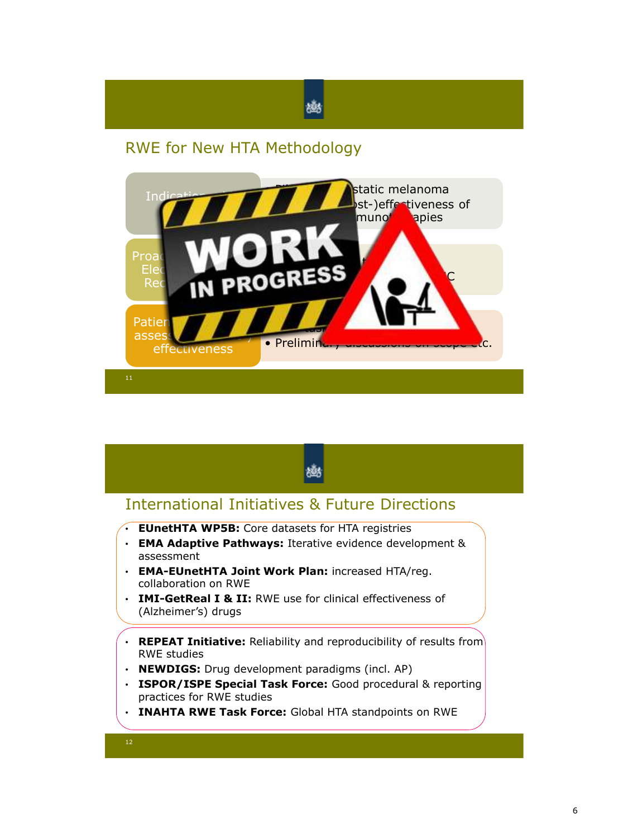# RWE for New HTA Methodology